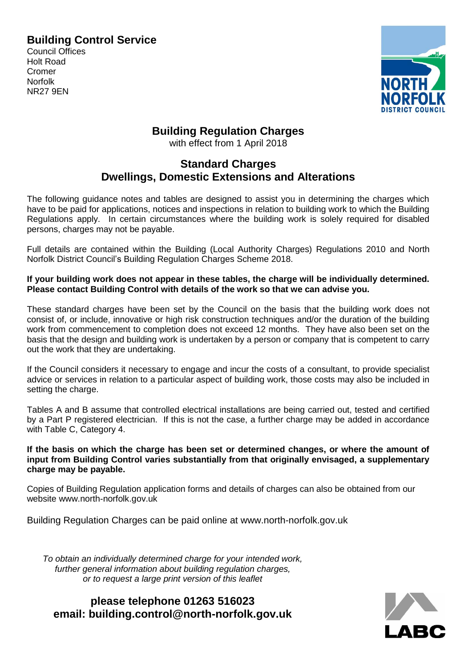### **Building Control Service**

Council Offices Holt Road Cromer Norfolk NR27 9EN



# **Building Regulation Charges**

with effect from 1 April 2018

## **Standard Charges Dwellings, Domestic Extensions and Alterations**

The following guidance notes and tables are designed to assist you in determining the charges which have to be paid for applications, notices and inspections in relation to building work to which the Building Regulations apply. In certain circumstances where the building work is solely required for disabled persons, charges may not be payable.

Full details are contained within the Building (Local Authority Charges) Regulations 2010 and North Norfolk District Council's Building Regulation Charges Scheme 2018.

**If your building work does not appear in these tables, the charge will be individually determined. Please contact Building Control with details of the work so that we can advise you.**

These standard charges have been set by the Council on the basis that the building work does not consist of, or include, innovative or high risk construction techniques and/or the duration of the building work from commencement to completion does not exceed 12 months. They have also been set on the basis that the design and building work is undertaken by a person or company that is competent to carry out the work that they are undertaking.

If the Council considers it necessary to engage and incur the costs of a consultant, to provide specialist advice or services in relation to a particular aspect of building work, those costs may also be included in setting the charge.

Tables A and B assume that controlled electrical installations are being carried out, tested and certified by a Part P registered electrician. If this is not the case, a further charge may be added in accordance with Table C, Category 4.

**If the basis on which the charge has been set or determined changes, or where the amount of input from Building Control varies substantially from that originally envisaged, a supplementary charge may be payable.**

Copies of Building Regulation application forms and details of charges can also be obtained from our website www.north-norfolk.gov.uk

Building Regulation Charges can be paid online at www.north-norfolk.gov.uk

*To obtain an individually determined charge for your intended work, further general information about building regulation charges, or to request a large print version of this leaflet*

**please telephone 01263 516023 email: [building.control@north-norfolk.gov.uk](mailto:building.control@north-norfolk.gov.uk)**

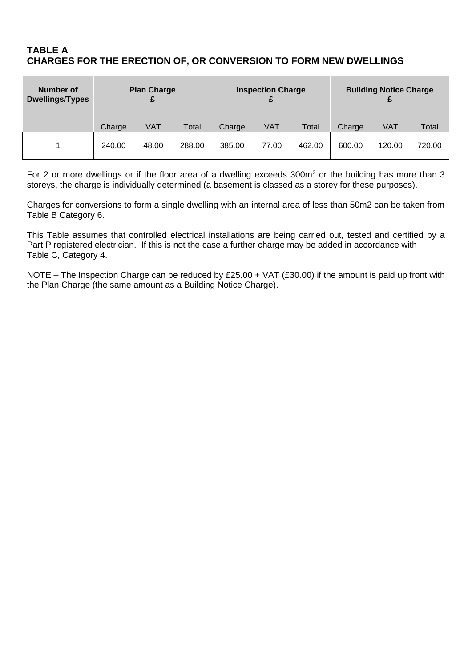#### **TABLE A CHARGES FOR THE ERECTION OF, OR CONVERSION TO FORM NEW DWELLINGS**

| Number of<br><b>Dwellings/Types</b> | <b>Plan Charge</b><br>£ |       |        |        | <b>Inspection Charge</b> |        | <b>Building Notice Charge</b> |        |        |  |
|-------------------------------------|-------------------------|-------|--------|--------|--------------------------|--------|-------------------------------|--------|--------|--|
|                                     | Charge                  | VAT   | Total  | Charge | VAT                      | Total  | Charge                        | VAT    | Total  |  |
|                                     | 240.00                  | 48.00 | 288.00 | 385.00 | 77.00                    | 462.00 | 600.00                        | 120.00 | 720.00 |  |

For 2 or more dwellings or if the floor area of a dwelling exceeds 300m<sup>2</sup> or the building has more than 3 storeys, the charge is individually determined (a basement is classed as a storey for these purposes).

Charges for conversions to form a single dwelling with an internal area of less than 50m2 can be taken from Table B Category 6.

This Table assumes that controlled electrical installations are being carried out, tested and certified by a Part P registered electrician. If this is not the case a further charge may be added in accordance with Table C, Category 4.

NOTE – The Inspection Charge can be reduced by £25.00 + VAT (£30.00) if the amount is paid up front with the Plan Charge (the same amount as a Building Notice Charge).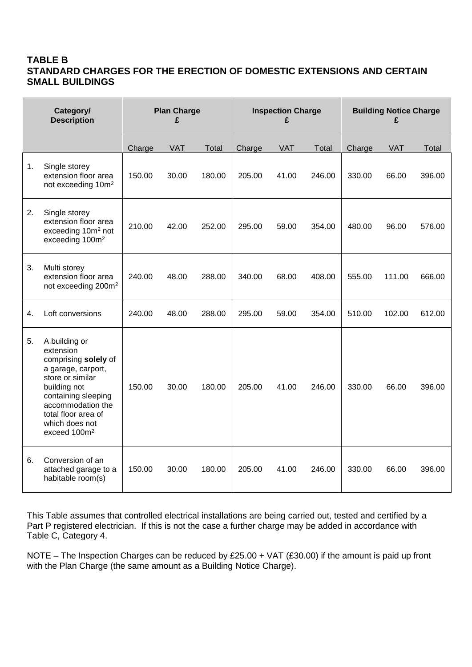#### **TABLE B STANDARD CHARGES FOR THE ERECTION OF DOMESTIC EXTENSIONS AND CERTAIN SMALL BUILDINGS**

|    | Category/<br><b>Plan Charge</b><br><b>Description</b><br>£                                                                                                                                                                    |        |            |        |        | <b>Inspection Charge</b><br>£ |              | <b>Building Notice Charge</b><br>£ |            |        |  |
|----|-------------------------------------------------------------------------------------------------------------------------------------------------------------------------------------------------------------------------------|--------|------------|--------|--------|-------------------------------|--------------|------------------------------------|------------|--------|--|
|    |                                                                                                                                                                                                                               | Charge | <b>VAT</b> | Total  | Charge | <b>VAT</b>                    | <b>Total</b> | Charge                             | <b>VAT</b> | Total  |  |
| 1. | Single storey<br>extension floor area<br>not exceeding 10m <sup>2</sup>                                                                                                                                                       | 150.00 | 30.00      | 180.00 | 205.00 | 41.00                         | 246.00       | 330.00                             | 66.00      | 396.00 |  |
| 2. | Single storey<br>extension floor area<br>exceeding 10m <sup>2</sup> not<br>exceeding 100m <sup>2</sup>                                                                                                                        | 210.00 | 42.00      | 252.00 | 295.00 | 59.00                         | 354.00       | 480.00                             | 96.00      | 576.00 |  |
| 3. | Multi storey<br>extension floor area<br>not exceeding 200m <sup>2</sup>                                                                                                                                                       | 240.00 | 48.00      | 288.00 | 340.00 | 68.00                         | 408.00       | 555.00                             | 111.00     | 666.00 |  |
| 4. | Loft conversions                                                                                                                                                                                                              | 240.00 | 48.00      | 288.00 | 295.00 | 59.00                         | 354.00       | 510.00                             | 102.00     | 612.00 |  |
| 5. | A building or<br>extension<br>comprising solely of<br>a garage, carport,<br>store or similar<br>building not<br>containing sleeping<br>accommodation the<br>total floor area of<br>which does not<br>exceed 100m <sup>2</sup> | 150.00 | 30.00      | 180.00 | 205.00 | 41.00                         | 246.00       | 330.00                             | 66.00      | 396.00 |  |
| 6. | Conversion of an<br>attached garage to a<br>habitable room(s)                                                                                                                                                                 | 150.00 | 30.00      | 180.00 | 205.00 | 41.00                         | 246.00       | 330.00                             | 66.00      | 396.00 |  |

This Table assumes that controlled electrical installations are being carried out, tested and certified by a Part P registered electrician. If this is not the case a further charge may be added in accordance with Table C, Category 4.

NOTE – The Inspection Charges can be reduced by £25.00 + VAT (£30.00) if the amount is paid up front with the Plan Charge (the same amount as a Building Notice Charge).